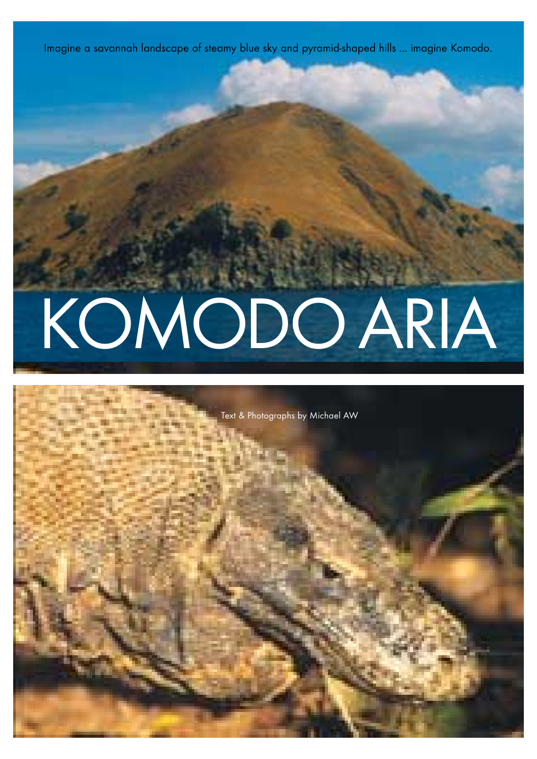# KOMODO ARIA

Imagine a savannah landscape of steamy blue sky and pyramid-shaped hills ... imagine Komodo.

Text & Photographs by Michael AW

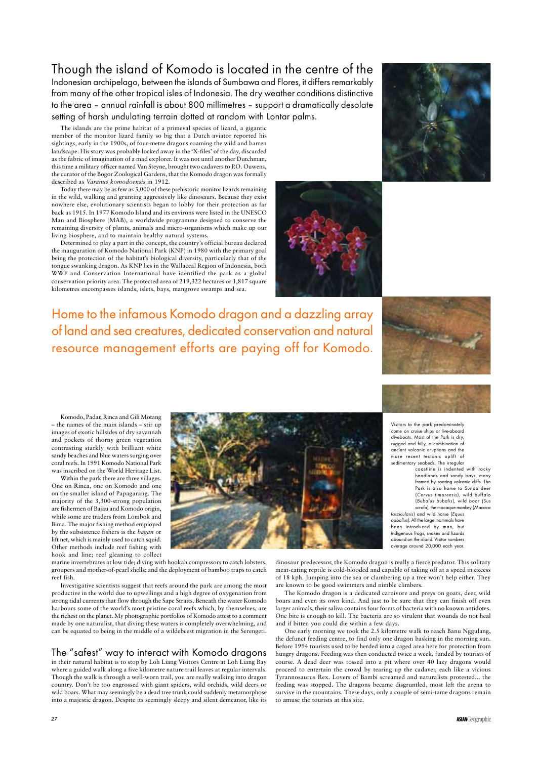# Though the island of Komodo is located in the centre of the

Indonesian archipelago, between the islands of Sumbawa and Flores, it differs remarkably from many of the other tropical isles of Indonesia. The dry weather conditions distinctive to the area – annual rainfall is about 800 millimetres – support a dramatically desolate setting of harsh undulating terrain dotted at random with Lontar palms.

The islands are the prime habitat of a primeval species of lizard, a gigantic member of the monitor lizard family so big that a Dutch aviator reported his sightings, early in the 1900s, of four-metre dragons roaming the wild and barren landscape. His story was probably locked away in the 'X-files' of the day, discarded as the fabric of imagination of a mad explorer. It was not until another Dutchman, this time a military officer named Van Steyne, brought two cadavers to P.O. Ouwens, the curator of the Bogor Zoological Gardens, that the Komodo dragon was formally described as *Varanus komodoensis* in 1912.

Today there may be as few as 3,000 of these prehistoric monitor lizards remaining in the wild, walking and grunting aggressively like dinosaurs. Because they exist nowhere else, evolutionary scientists began to lobby for their protection as far back as 1915. In 1977 Komodo Island and its environs were listed in the UNESCO Man and Biosphere (MAB), a worldwide programme designed to conserve the remaining diversity of plants, animals and micro-organisms which make up our living biosphere, and to maintain healthy natural systems.

Determined to play a part in the concept, the country's official bureau declared the inauguration of Komodo National Park (KNP) in 1980 with the primary goal being the protection of the habitat's biological diversity, particularly that of the tongue swanking dragon. As KNP lies in the Wallaceal Region of Indonesia, both WWF and Conservation International have identified the park as a global conservation priority area. The protected area of 219,322 hectares or 1,817 square kilometres encompasses islands, islets, bays, mangrove swamps and sea.

Komodo, Padar, Rinca and Gili Motang – the names of the main islands – stir up images of exotic hillsides of dry savannah and pockets of thorny green vegetation contrasting starkly with brilliant white sandy beaches and blue waters surging over coral reefs. In 1991 Komodo National Park was inscribed on the World Heritage List.

Within the park there are three villages. One on Rinca, one on Komodo and one on the smaller island of Papagarang. The majority of the 3,300-strong population are fishermen of Bajau and Komodo origin, while some are traders from Lombok and Bima. The major fishing method employed by the subsistence fishers is the *bagan* or lift net, which is mainly used to catch squid. Other methods include reef fishing with hook and line; reef gleaning to collect



marine invertebrates at low tide; diving with hookah compressors to catch lobsters, groupers and mother-of-pearl shells; and the deployment of bamboo traps to catch reef fish. Investigative scientists suggest that reefs around the park are among the most productive in the world due to upwellings and a high degree of oxygenation from strong tidal currents that flow through the Sape Straits. Beneath the water Komodo harbours some of the world's most pristine coral reefs which, by themselves, are the richest on the planet. My photographic portfolios of Komodo attest to a comment made by one naturalist, that diving these waters is completely overwhelming, and can be equated to being in the middle of a wildebeest migration in the Serengeti.

The "safest" way to interact with Komodo dragons in their natural habitat is to stop by Loh Liang Visitors Centre at Loh Liang Bay where a guided walk along a five kilometre nature trail leaves at regular intervals. Though the walk is through a well-worn trail, you are really walking into dragon country. Don't be too engrossed with giant spiders, wild orchids, wild deers or wild boars. What may seemingly be a dead tree trunk could suddenly metamorphose into a majestic dragon. Despite its seemingly sleepy and silent demeanor, like its

dinosaur predecessor, the Komodo dragon is really a fierce predator. This solitary meat-eating reptile is cold-blooded and capable of taking off at a speed in excess





of 18 kph. Jumping into the sea or clambering up a tree won't help either. They are known to be good swimmers and nimble climbers.

The Komodo dragon is a dedicated carnivore and preys on goats, deer, wild boars and even its own kind. And just to be sure that they can finish off even larger animals, their saliva contains four forms of bacteria with no known antidotes. One bite is enough to kill. The bacteria are so virulent that wounds do not heal and if bitten you could die within a few days.

One early morning we took the 2.5 kilometre walk to reach Banu Nggulang, the defunct feeding centre, to find only one dragon basking in the morning sun. Before 1994 tourists used to be herded into a caged area here for protection from hungry dragons. Feeding was then conducted twice a week, funded by tourists of course. A dead deer was tossed into a pit where over 40 lazy dragons would proceed to entertain the crowd by tearing up the cadaver, each like a vicious Tyrannosaurus Rex. Lovers of Bambi screamed and naturalists protested... the feeding was stopped. The dragons became disgruntled, most left the arena to survive in the mountains. These days, only a couple of semi-tame dragons remain to amuse the tourists at this site.

**ASIAN**Geographic

Visitors to the park predominately come on cruise ships or live-aboard diveboats. Most of the Park is dry, rugged and hilly, a combination of ancient volcanic eruptions and the more recent tectonic uplift of sedimentary seabeds. The irregular

Home to the infamous Komodo dragon and a dazzling array of land and sea creatures, dedicated conservation and natural resource management efforts are paying off for Komodo.



coastline is indented with rocky headlands and sandy bays, many framed by soaring volcanic cliffs. The Park is also home to Sunda deer (Cervus timorensis), wild buffalo (Bubalus bubalis), wild boar (Sus scrofa), the macaque monkey (Macaca

fascicularis) and wild horse (Equus qaballus). All the large mammals have been introduced by man, but indigenous frogs, snakes and lizards abound on the island. Visitor numbers average around 20,000 each year.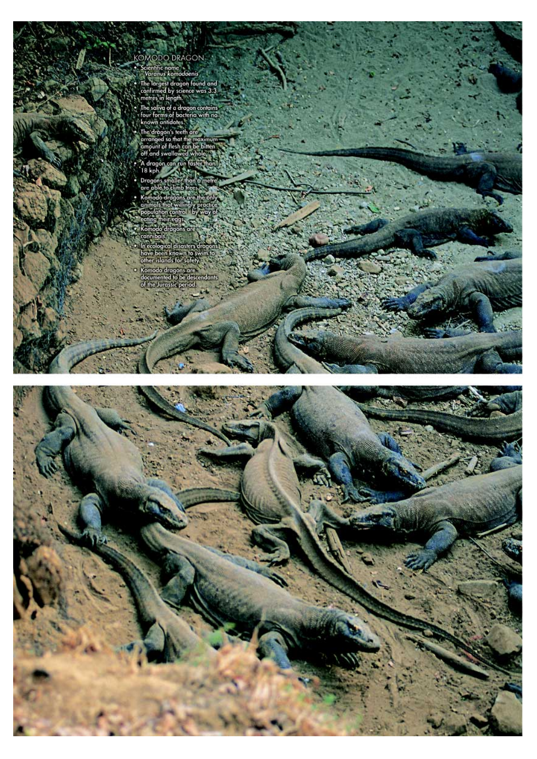XOMODO DRAGON<br>
• Scientific nome<br>
• Scientific nome<br>
• Varanus komodoenis<br>
• The largest dragon found and<br>
• confirmed by science was 3.3<br>
• The largest dragon found and<br>
• The salivo of a dragon contains<br>
• The salivo of



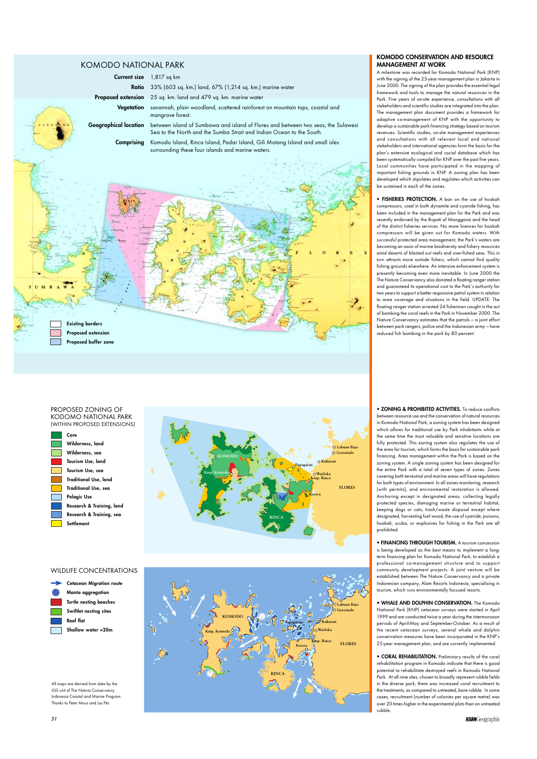**KOMODO CONSERVATION AND RESOURCE MANAGEMENT AT WORK**

A milestone was recorded for Komodo National Park (KNP) with the signing of the 25-year management plan in Jakarta in June 2000. The signing of the plan provides the essential legal framework and tools to manage the natural resources in the Park. Five years of on-site experience, consultations with all stakeholders and scientific studies are integrated into the plan. The management plan document provides a framework for adaptive co-management of KNP with the opportunity to develop a sustainable park financing strategy based on tourism revenues. Scientific studies, on-site management experiences and consultations with all relevant local and national stakeholders and international agencies form the basis for the plan's extensive ecological and social database which has been systematically compiled for KNP over the past five years. Local communities have participated in the mapping of important fishing grounds in KNP. A zoning plan has been developed which stipulates and regulates which activities can be sustained in each of the zones.

**• FISHERIES PROTECTION.** A ban on the use of hookah compressors, used in both dynamite and cyanide fishing, has been included in the management plan for the Park and was recently endorsed by the Bupati of Manggarai and the head of the district fisheries services. No more licences for hookah compressors will be given out for Komodo waters. With successful protected area management, the Park's waters are becoming an oasis of marine biodiversity and fishery resources amid deserts of blasted out reefs and over-fished seas. This in turn attracts more outside fishers, which cannot find quality fishing grounds elsewhere. An intensive enforcement system is presently becoming even more inevitable. In June 2000 the The Nature Conservancy also donated a floating ranger station and guaranteed its operational cost to the Park's authority for two years to support a better responsive patrol system in relation to area coverage and situations in the field. UPDATE: The floating ranger station arrested 24 fisherman caught in the act of bombing the coral reefs in the Park in November 2000. The Nature Conservancy estimates that the patrols — a joint effort between park rangers, police and the Indonesian army — have reduced fish bombing in the park by 80 percent.

**• ZONING & PROHIBITED ACTIVITIES.** To reduce conflicts between resource use and the conservation of natural resources in Komodo National Park, a zoning system has been designed which allows for traditional use by Park inhabitants while at the same time the most valuable and sensitive locations are fully protected. This zoning system also regulates the use of the area for tourism, which forms the basis for sustainable park financing. Area management within the Park is based on the zoning system. A single zoning system has been designed for the entire Park with a total of seven types of zones. Zones covering both terrestrial and marine areas will have regulations for both types of environment. In all zones monitoring, research (with permits), and environmental restoration is allowed. Anchoring except in designated areas, collecting legally protected species, damaging marine or terrestrial habitat, keeping dogs or cats, trash/waste disposal except where designated, harvesting fuel wood, the use of cyanide, poisons, hookah, scuba, or explosives for fishing in the Park are all prohibited.

**• FINANCING THROUGH TOURISM.** A tourism concession is being developed as the best means to implement a longterm financing plan for Komodo National Park; to establish a professional co-management structure and to support community development projects. A joint venture will be established between The Nature Conservancy and a private Indonesian company, Alam Resorts Indonesia, specialising in tourism, which runs environmentally focused resorts.

**• WHALE AND DOLPHIN CONSERVATION.** The Komodo National Park (KNP) cetacean surveys were started in April 1999 and are conducted twice a year during the intermonsoon periods of April-May and September-October. As a result of the recent cetacean surveys, several whale and dolphin conservation measures have been incorporated in the KNP's 25-year management plan, and are currently implemented.

**• CORAL REHABILITATION.** Preliminary results of the coral rehabilitation program in Komodo indicate that there is good potential to rehabilitate destroyed reefs in Komodo National Park. At all nine sites, chosen to broadly represent rubble fields in the diverse park, there was increased coral recruitment to the treatments, as compared to untreated, bare rubble. In some cases, recruitment (number of colonies per square metre) was over 20 times higher in the experimental plots than on untreated rubble.

### KOMODO NATIONAL PARK

| <b>Current size</b> | 1,817 sq km |  |
|---------------------|-------------|--|
|---------------------|-------------|--|

**Ratio** 33% (603 sq. km.) land, 67% (1,214 sq. km.) marine water

**Proposed extension** 25 sq. km. land and 479 sq. km. marine water

**Vegetation** savannah, plain woodland, scattered rainforest on mountain tops, coastal and mangrove forest.

**Geographical location** between island of Sumbawa and island of Flores and between two seas, the Sulawesi

Sea to the North and the Sumba Strait and Indian Ocean to the South. **Comprising** Komodo Island, Rinca Island, Padar Island, Gili Motang Island and small isles surrounding these four islands and marine waters.



### PROPOSED ZONING OF KODOMO NATIONAL PARK (WITHIN PROPOSED EXTENSIONS)









All maps are derived from data by the GIS unit of The Nature Conservancy Indonesia Coastal and Marine Program. Thanks to Peter Mous and Jos Pet.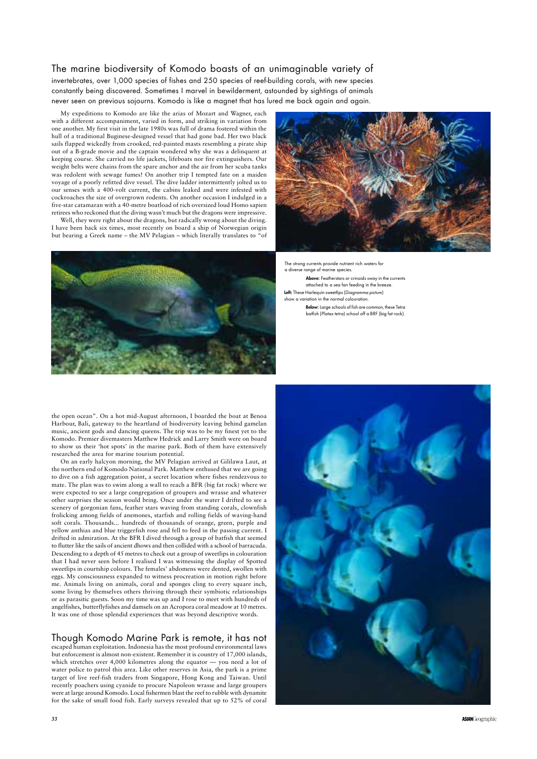My expeditions to Komodo are like the arias of Mozart and Wagner, each with a different accompaniment, varied in form, and striking in variation from one another. My first visit in the late 1980s was full of drama fostered within the hull of a traditional Buginese-designed vessel that had gone bad. Her two black sails flapped wickedly from crooked, red-painted masts resembling a pirate ship out of a B-grade movie and the captain wondered why she was a delinquent at keeping course. She carried no life jackets, lifeboats nor fire extinguishers. Our weight belts were chains from the spare anchor and the air from her scuba tanks was redolent with sewage fumes! On another trip I tempted fate on a maiden voyage of a poorly refitted dive vessel. The dive ladder intermittently jolted us to our senses with a 400-volt current, the cabins leaked and were infested with cockroaches the size of overgrown rodents. On another occasion I indulged in a five-star catamaran with a 40-metre boatload of rich oversized loud Homo sapien retirees who reckoned that the diving wasn't much but the dragons were impressive.

Well, they were right about the dragons, but radically wrong about the diving. I have been back six times, most recently on board a ship of Norwegian origin but bearing a Greek name – the MV Pelagian – which literally translates to "of





### The marine biodiversity of Komodo boasts of an unimaginable variety of

invertebrates, over 1,000 species of fishes and 250 species of reef-building corals, with new species constantly being discovered. Sometimes I marvel in bewilderment, astounded by sightings of animals never seen on previous sojourns. Komodo is like a magnet that has lured me back again and again.

the open ocean". On a hot mid-August afternoon, I boarded the boat at Benoa Harbour, Bali, gateway to the heartland of biodiversity leaving behind gamelan music, ancient gods and dancing queens. The trip was to be my finest yet to the Komodo. Premier divemasters Matthew Hedrick and Larry Smith were on board to show us their 'hot spots' in the marine park. Both of them have extensively researched the area for marine tourism potential.

On an early halcyon morning, the MV Pelagian arrived at Gililawa Laut, at the northern end of Komodo National Park. Matthew enthused that we are going to dive on a fish aggregation point, a secret location where fishes rendezvous to mate. The plan was to swim along a wall to reach a BFR (big fat rock) where we were expected to see a large congregation of groupers and wrasse and whatever other surprises the season would bring. Once under the water I drifted to see a scenery of gorgonian fans, feather stars waving from standing corals, clownfish frolicking among fields of anemones, starfish and rolling fields of waving-hand soft corals. Thousands... hundreds of thousands of orange, green, purple and yellow anthias and blue triggerfish rose and fell to feed in the passing current. I drifted in admiration. At the BFR I dived through a group of batfish that seemed to flutter like the sails of ancient dhows and then collided with a school of barracuda. Descending to a depth of 45 metres to check out a group of sweetlips in colouration that I had never seen before I realised I was witnessing the display of Spotted sweetlips in courtship colours. The females' abdomens were dented, swollen with eggs. My consciousness expanded to witness procreation in motion right before me. Animals living on animals, coral and sponges cling to every square inch, some living by themselves others thriving through their symbiotic relationships or as parasitic guests. Soon my time was up and I rose to meet with hundreds of angelfishes, butterflyfishes and damsels on an Acropora coral meadow at 10 metres. It was one of those splendid experiences that was beyond descriptive words.



Though Komodo Marine Park is remote, it has not escaped human exploitation. Indonesia has the most profound environmental laws but enforcement is almost non-existent. Remember it is country of 17,000 islands, which stretches over 4,000 kilometres along the equator — you need a lot of water police to patrol this area. Like other reserves in Asia, the park is a prime target of live reef-fish traders from Singapore, Hong Kong and Taiwan. Until recently poachers using cyanide to procure Napoleon wrasse and large groupers were at large around Komodo. Local fishermen blast the reef to rubble with dynamite for the sake of small food fish. Early surveys revealed that up to 52% of coral

The strong currents provide nutrient rich waters for a diverse range of marine species.

**Above:** Featherstars or crinoids sway in the currents attached to a sea fan feeding in the breeze. **Left:** These Harlequin sweetlips (Diagramma pictum) show a variation in the normal colouration.

> **Below:** Large schools of fish are common, these Tetra batfish (Platax tetra) school off a BRF (big fat rock).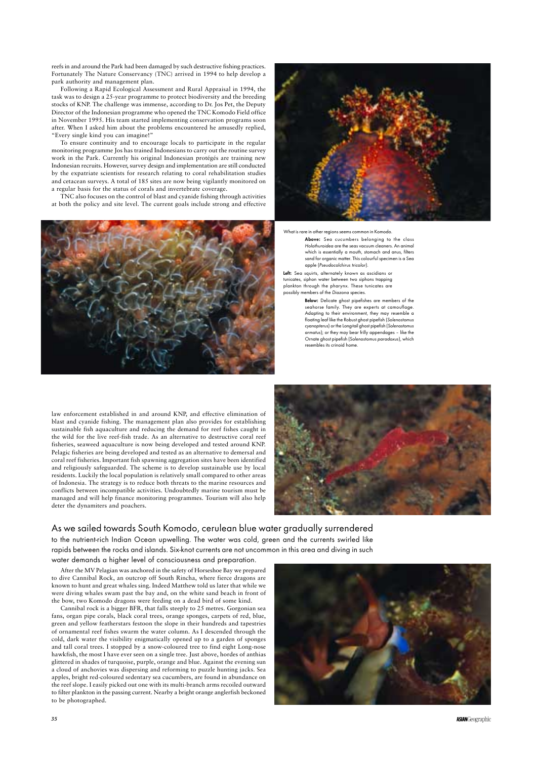reefs in and around the Park had been damaged by such destructive fishing practices. Fortunately The Nature Conservancy (TNC) arrived in 1994 to help develop a park authority and management plan.

Following a Rapid Ecological Assessment and Rural Appraisal in 1994, the task was to design a 25-year programme to protect biodiversity and the breeding stocks of KNP. The challenge was immense, according to Dr. Jos Pet, the Deputy Director of the Indonesian programme who opened the TNC Komodo Field office in November 1995. His team started implementing conservation programs soon after. When I asked him about the problems encountered he amusedly replied, "Every single kind you can imagine!"

To ensure continuity and to encourage locals to participate in the regular monitoring programme Jos has trained Indonesians to carry out the routine survey work in the Park. Currently his original Indonesian protégés are training new Indonesian recruits. However, survey design and implementation are still conducted by the expatriate scientists for research relating to coral rehabilitation studies and cetacean surveys. A total of 185 sites are now being vigilantly monitored on a regular basis for the status of corals and invertebrate coverage.

TNC also focuses on the control of blast and cyanide fishing through activities at both the policy and site level. The current goals include strong and effective





What is rare in other regions seems common in Komodo

After the MV Pelagian was anchored in the safety of Horseshoe Bay we prepared



to dive Cannibal Rock, an outcrop off South Rincha, where fierce dragons are known to hunt and great whales sing. Indeed Matthew told us later that while we were diving whales swam past the bay and, on the white sand beach in front of the bow, two Komodo dragons were feeding on a dead bird of some kind.

Cannibal rock is a bigger BFR, that falls steeply to 25 metres. Gorgonian sea fans, organ pipe corals, black coral trees, orange sponges, carpets of red, blue, green and yellow featherstars festoon the slope in their hundreds and tapestries of ornamental reef fishes swarm the water column. As I descended through the cold, dark water the visibility enigmatically opened up to a garden of sponges and tall coral trees. I stopped by a snow-coloured tree to find eight Long-nose hawkfish, the most I have ever seen on a single tree. Just above, hordes of anthias glittered in shades of turquoise, purple, orange and blue. Against the evening sun a cloud of anchovies was dispersing and reforming to puzzle hunting jacks. Sea apples, bright red-coloured sedentary sea cucumbers, are found in abundance on the reef slope. I easily picked out one with its multi-branch arms recoiled outward to filter plankton in the passing current. Nearby a bright orange anglerfish beckoned to be photographed.

## As we sailed towards South Komodo, cerulean blue water gradually surrendered

to the nutrient-rich Indian Ocean upwelling. The water was cold, green and the currents swirled like rapids between the rocks and islands. Six-knot currents are not uncommon in this area and diving in such

water demands a higher level of consciousness and preparation.

law enforcement established in and around KNP, and effective elimination of blast and cyanide fishing. The management plan also provides for establishing sustainable fish aquaculture and reducing the demand for reef fishes caught in the wild for the live reef-fish trade. As an alternative to destructive coral reef fisheries, seaweed aquaculture is now being developed and tested around KNP. Pelagic fisheries are being developed and tested as an alternative to demersal and coral reef fisheries. Important fish spawning aggregation sites have been identified and religiously safeguarded. The scheme is to develop sustainable use by local residents. Luckily the local population is relatively small compared to other areas of Indonesia. The strategy is to reduce both threats to the marine resources and conflicts between incompatible activities. Undoubtedly marine tourism must be managed and will help finance monitoring programmes. Tourism will also help deter the dynamiters and poachers.



**Above:** Sea cucumbers belonging to the class Holothuroidea are the seas vacuum cleaners. An animal which is essentially a mouth, stomach and anus, filters sand for organic matter. This colourful specimen is a Sea apple (Pseudocolchirus tricolor).

**Left:** Sea squirts, alternately known as ascidians or tunicates, siphon water between two siphons trapping plankton through the pharynx. These tunicates are possibly members of the Diazona species.

> **Below:** Delicate ghost pipefishes are members of the seahorse family. They are experts at camouflage. Adapting to their environment, they may resemble a floating leaf like the Robust ghost pipefish (Solenostomus cyanopterus) or the Long-tail ghost pipefish (Solenostomus armatus); or they may bear frilly appendages – like the Ornate ghost pipefish (Solenostomus paradoxus), which resembles its crinoid home.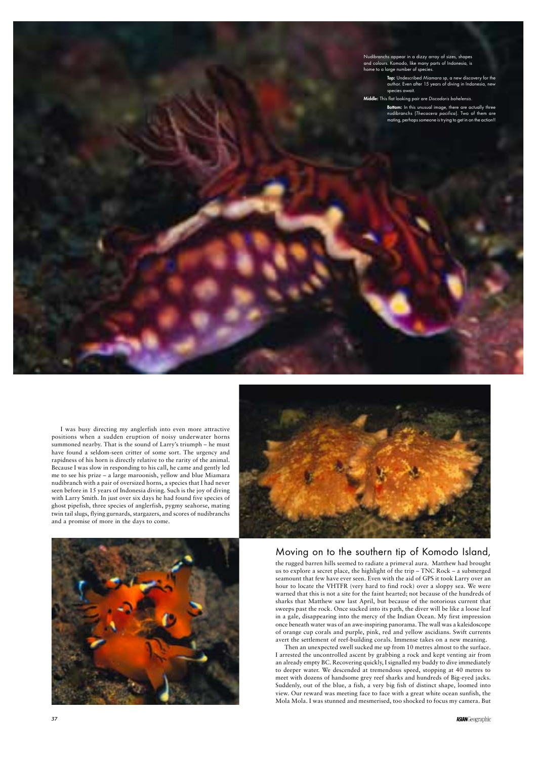I was busy directing my anglerfish into even more attractive positions when a sudden eruption of noisy underwater horns summoned nearby. That is the sound of Larry's triumph – he must have found a seldom-seen critter of some sort. The urgency and rapidness of his horn is directly relative to the rarity of the animal. Because I was slow in responding to his call, he came and gently led me to see his prize – a large maroonish, yellow and blue Miamara nudibranch with a pair of oversized horns, a species that I had never seen before in 15 years of Indonesia diving. Such is the joy of diving with Larry Smith. In just over six days he had found five species of ghost pipefish, three species of anglerfish, pygmy seahorse, mating twin tail slugs, flying gurnards, stargazers, and scores of nudibranchs and a promise of more in the days to come.



Moving on to the southern tip of Komodo Island, the rugged barren hills seemed to radiate a primeval aura. Matthew had brought us to explore a secret place, the highlight of the trip – TNC Rock – a submerged



seamount that few have ever seen. Even with the aid of GPS it took Larry over an hour to locate the VHTFR (very hard to find rock) over a sloppy sea. We were warned that this is not a site for the faint hearted; not because of the hundreds of sharks that Matthew saw last April, but because of the notorious current that sweeps past the rock. Once sucked into its path, the diver will be like a loose leaf in a gale, disappearing into the mercy of the Indian Ocean. My first impression once beneath water was of an awe-inspiring panorama. The wall was a kaleidoscope of orange cup corals and purple, pink, red and yellow ascidians. Swift currents avert the settlement of reef-building corals. Immense takes on a new meaning.

Then an unexpected swell sucked me up from 10 metres almost to the surface. I arrested the uncontrolled ascent by grabbing a rock and kept venting air from an already empty BC. Recovering quickly, I signalled my buddy to dive immediately to deeper water. We descended at tremendous speed, stopping at 40 metres to meet with dozens of handsome grey reef sharks and hundreds of Big-eyed jacks. Suddenly, out of the blue, a fish, a very big fish of distinct shape, loomed into view. Our reward was meeting face to face with a great white ocean sunfish, the Mola Mola. I was stunned and mesmerised, too shocked to focus my camera. But

**ASIAN**Geographic

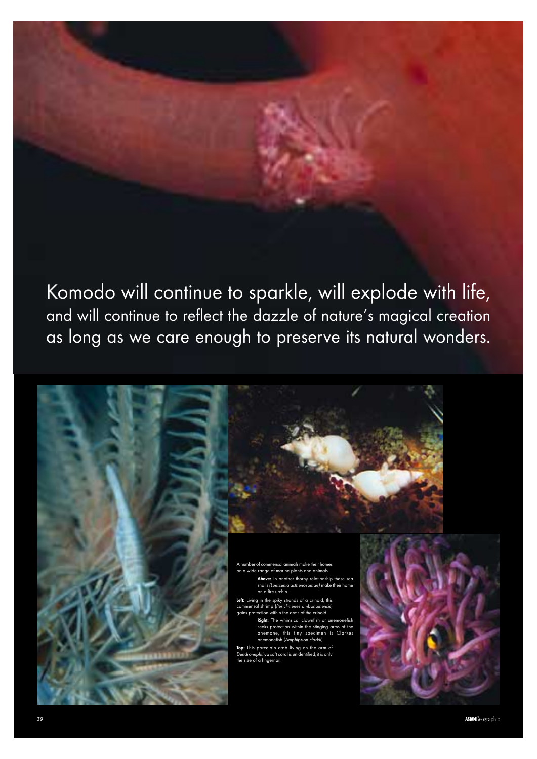Komodo will continue to sparkle, will explode with life, and will continue to reflect the dazzle of nature's magical creation as long as we care enough to preserve its natural wonders.